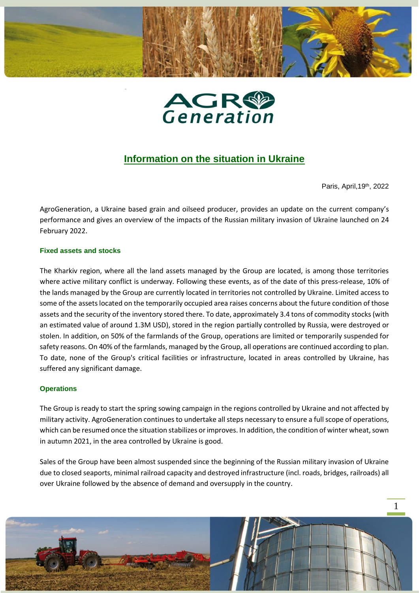



# **Information on the situation in Ukraine**

Paris, April,19th, 2022

AgroGeneration, a Ukraine based grain and oilseed producer, provides an update on the current company's performance and gives an overview of the impacts of the Russian military invasion of Ukraine launched on 24 February 2022.

# **Fixed assets and stocks**

The Kharkiv region, where all the land assets managed by the Group are located, is among those territories where active military conflict is underway. Following these events, as of the date of this press-release, 10% of the lands managed by the Group are currently located in territories not controlled by Ukraine. Limited access to some of the assets located on the temporarily occupied area raises concerns about the future condition of those assets and the security of the inventory stored there. To date, approximately 3.4 tons of commodity stocks (with an estimated value of around 1.3M USD), stored in the region partially controlled by Russia, were destroyed or stolen. In addition, on 50% of the farmlands of the Group, operations are limited or temporarily suspended for safety reasons. On 40% of the farmlands, managed by the Group, all operations are continued according to plan. To date, none of the Group's critical facilities or infrastructure, located in areas controlled by Ukraine, has suffered any significant damage.

### **Operations**

The Group is ready to start the spring sowing campaign in the regions controlled by Ukraine and not affected by military activity. AgroGeneration continues to undertake all steps necessary to ensure a full scope of operations, which can be resumed once the situation stabilizes or improves. In addition, the condition of winter wheat, sown in autumn 2021, in the area controlled by Ukraine is good.

Sales of the Group have been almost suspended since the beginning of the Russian military invasion of Ukraine due to closed seaports, minimal railroad capacity and destroyed infrastructure (incl. roads, bridges, railroads) all over Ukraine followed by the absence of demand and oversupply in the country.